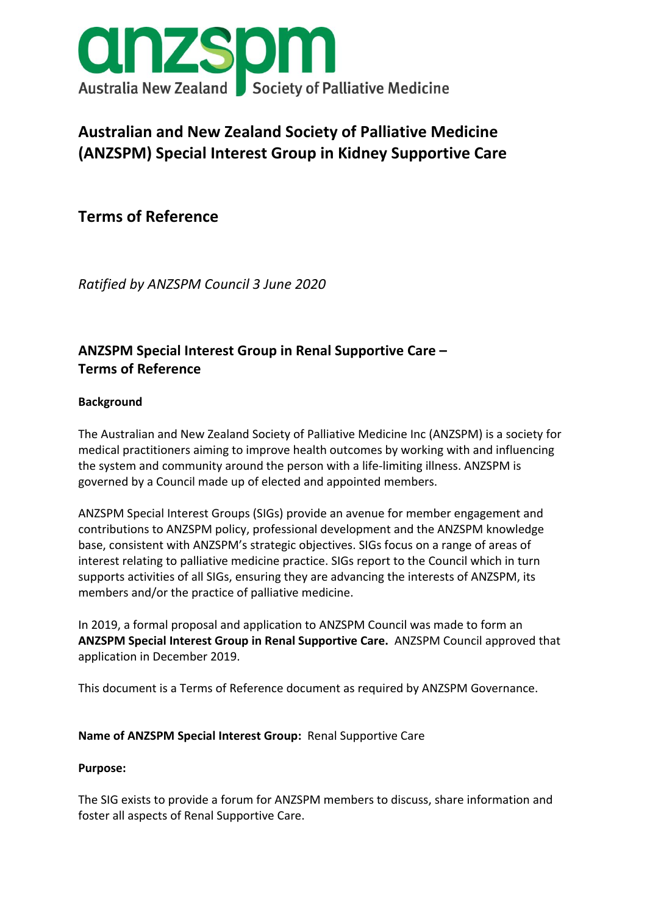

# **Australian and New Zealand Society of Palliative Medicine (ANZSPM) Special Interest Group in Kidney Supportive Care**

**Terms of Reference**

*Ratified by ANZSPM Council 3 June 2020*

# **ANZSPM Special Interest Group in Renal Supportive Care – Terms of Reference**

### **Background**

The Australian and New Zealand Society of Palliative Medicine Inc (ANZSPM) is a society for medical practitioners aiming to improve health outcomes by working with and influencing the system and community around the person with a life-limiting illness. ANZSPM is governed by a Council made up of elected and appointed members.

ANZSPM Special Interest Groups (SIGs) provide an avenue for member engagement and contributions to ANZSPM policy, professional development and the ANZSPM knowledge base, consistent with ANZSPM's strategic objectives. SIGs focus on a range of areas of interest relating to palliative medicine practice. SIGs report to the Council which in turn supports activities of all SIGs, ensuring they are advancing the interests of ANZSPM, its members and/or the practice of palliative medicine.

In 2019, a formal proposal and application to ANZSPM Council was made to form an **ANZSPM Special Interest Group in Renal Supportive Care.** ANZSPM Council approved that application in December 2019.

This document is a Terms of Reference document as required by ANZSPM Governance.

#### **Name of ANZSPM Special Interest Group:** Renal Supportive Care

#### **Purpose:**

The SIG exists to provide a forum for ANZSPM members to discuss, share information and foster all aspects of Renal Supportive Care.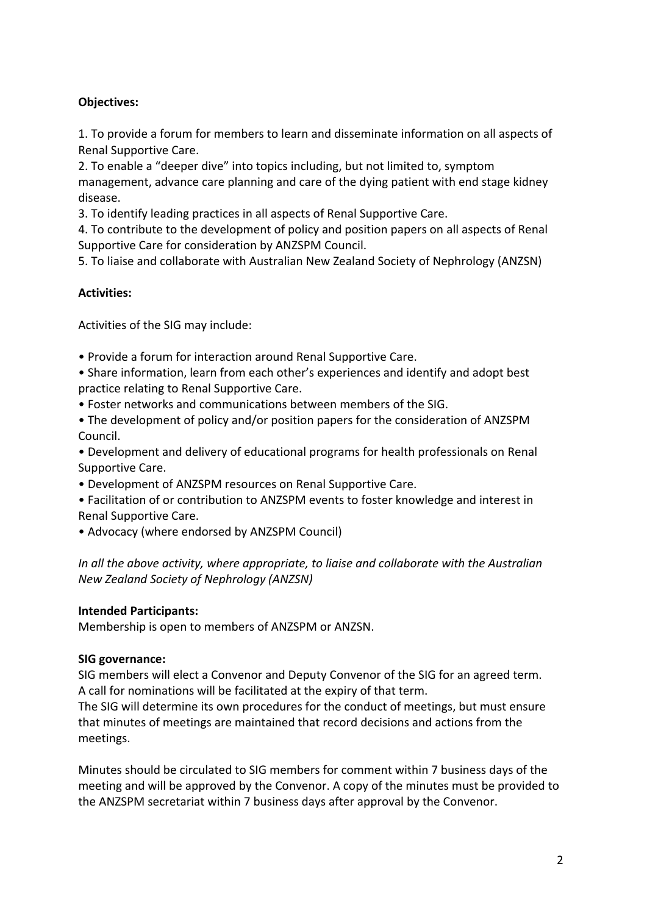## **Objectives:**

1. To provide a forum for members to learn and disseminate information on all aspects of Renal Supportive Care.

2. To enable a "deeper dive" into topics including, but not limited to, symptom management, advance care planning and care of the dying patient with end stage kidney disease.

3. To identify leading practices in all aspects of Renal Supportive Care.

4. To contribute to the development of policy and position papers on all aspects of Renal Supportive Care for consideration by ANZSPM Council.

5. To liaise and collaborate with Australian New Zealand Society of Nephrology (ANZSN)

#### **Activities:**

Activities of the SIG may include:

- Provide a forum for interaction around Renal Supportive Care.
- Share information, learn from each other's experiences and identify and adopt best practice relating to Renal Supportive Care.
- Foster networks and communications between members of the SIG.
- The development of policy and/or position papers for the consideration of ANZSPM Council.

• Development and delivery of educational programs for health professionals on Renal Supportive Care.

- Development of ANZSPM resources on Renal Supportive Care.
- Facilitation of or contribution to ANZSPM events to foster knowledge and interest in Renal Supportive Care.
- Advocacy (where endorsed by ANZSPM Council)

*In all the above activity, where appropriate, to liaise and collaborate with the Australian New Zealand Society of Nephrology (ANZSN)* 

#### **Intended Participants:**

Membership is open to members of ANZSPM or ANZSN.

#### **SIG governance:**

SIG members will elect a Convenor and Deputy Convenor of the SIG for an agreed term. A call for nominations will be facilitated at the expiry of that term.

The SIG will determine its own procedures for the conduct of meetings, but must ensure that minutes of meetings are maintained that record decisions and actions from the meetings.

Minutes should be circulated to SIG members for comment within 7 business days of the meeting and will be approved by the Convenor. A copy of the minutes must be provided to the ANZSPM secretariat within 7 business days after approval by the Convenor.